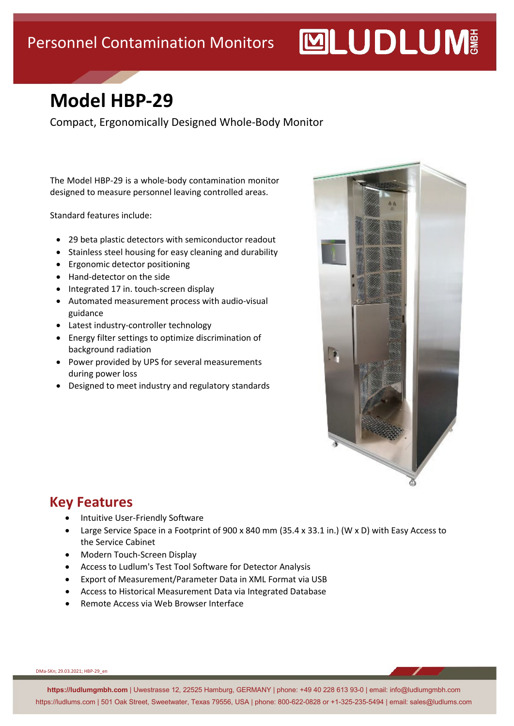# **MUDLUM**

### **Model HBP-29**

Compact, Ergonomically Designed Whole-Body Monitor

The Model HBP-29 is a whole-body contamination monitor designed to measure personnel leaving controlled areas.

Standard features include:

- 29 beta plastic detectors with semiconductor readout
- Stainless steel housing for easy cleaning and durability
- Ergonomic detector positioning
- Hand-detector on the side
- Integrated 17 in. touch-screen display
- Automated measurement process with audio-visual guidance
- Latest industry-controller technology
- Energy filter settings to optimize discrimination of background radiation
- Power provided by UPS for several measurements during power loss
- Designed to meet industry and regulatory standards



#### **Key Features**

- Intuitive User-Friendly Software
- Large Service Space in a Footprint of 900 x 840 mm (35.4 x 33.1 in.) (W x D) with Easy Access to the Service Cabinet
- Modern Touch-Screen Display
- Access to Ludlum's Test Tool Software for Detector Analysis
- Export of Measurement/Parameter Data in XML Format via USB
- Access to Historical Measurement Data via Integrated Database
- Remote Access via Web Browser Interface

DMa-SKn; 29.03.2021; HBP-29\_en

**https://ludlumgmbh.com** | Uwestrasse 12, 22525 Hamburg, GERMANY | phone: +49 40 228 613 93-0 | email: info@ludlumgmbh.com https://ludlums.com | 501 Oak Street, Sweetwater, Texas 79556, USA | phone: 800-622-0828 or +1-325-235-5494 | email: sales@ludlums.com